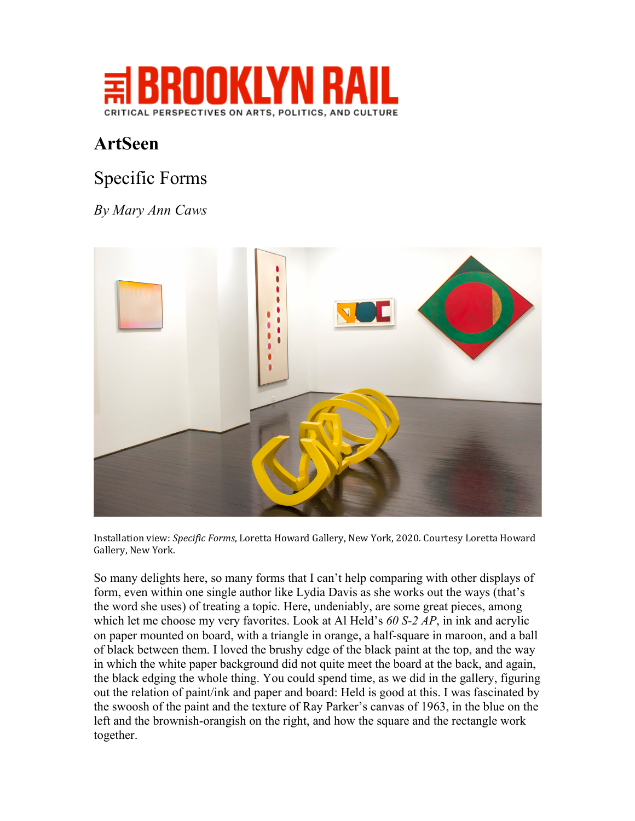

## **ArtSeen**

## Specific Forms

*By Mary Ann Caws*



Installation view: Specific Forms, Loretta Howard Gallery, New York, 2020. Courtesy Loretta Howard Gallery, New York.

So many delights here, so many forms that I can't help comparing with other displays of form, even within one single author like Lydia Davis as she works out the ways (that's the word she uses) of treating a topic. Here, undeniably, are some great pieces, among which let me choose my very favorites. Look at Al Held's *60 S-2 AP*, in ink and acrylic on paper mounted on board, with a triangle in orange, a half-square in maroon, and a ball of black between them. I loved the brushy edge of the black paint at the top, and the way in which the white paper background did not quite meet the board at the back, and again, the black edging the whole thing. You could spend time, as we did in the gallery, figuring out the relation of paint/ink and paper and board: Held is good at this. I was fascinated by the swoosh of the paint and the texture of Ray Parker's canvas of 1963, in the blue on the left and the brownish-orangish on the right, and how the square and the rectangle work together.